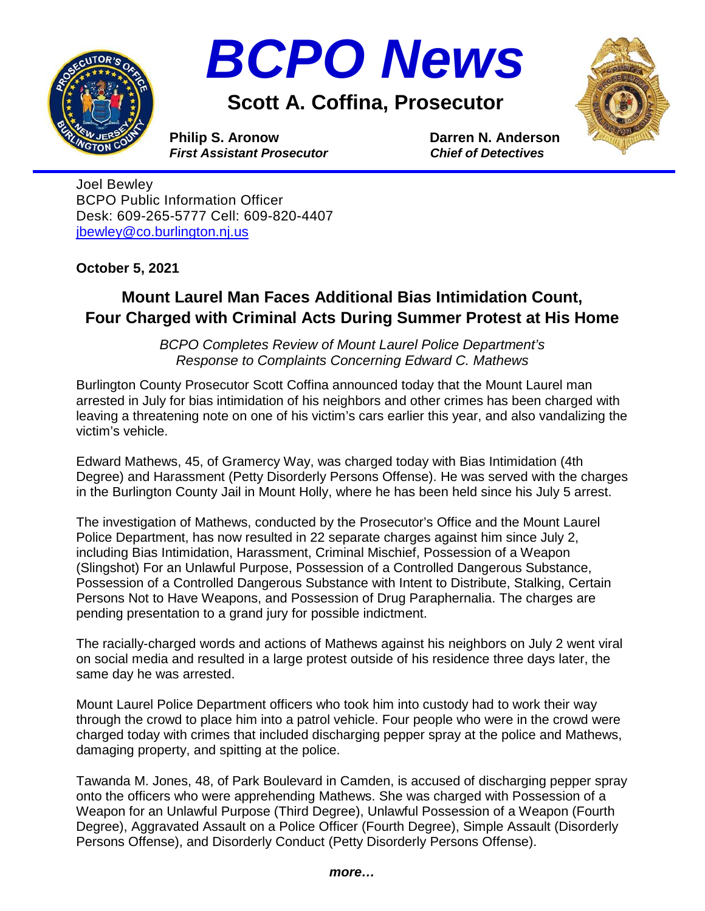



**Scott A. Coffina, Prosecutor**



**Philip S. Aronow Darren N. Anderson**<br> *First Assistant Prosecutor* Chief of Detectives *First Assistant Prosecutor* 

Joel Bewley BCPO Public Information Officer Desk: 609-265-5777 Cell: 609-820-4407 [jbewley@co.burlington.nj.us](mailto:jbewley@co.burlington.nj.us)

**October 5, 2021**

## **Mount Laurel Man Faces Additional Bias Intimidation Count, Four Charged with Criminal Acts During Summer Protest at His Home**

*BCPO Completes Review of Mount Laurel Police Department's Response to Complaints Concerning Edward C. Mathews*

Burlington County Prosecutor Scott Coffina announced today that the Mount Laurel man arrested in July for bias intimidation of his neighbors and other crimes has been charged with leaving a threatening note on one of his victim's cars earlier this year, and also vandalizing the victim's vehicle.

Edward Mathews, 45, of Gramercy Way, was charged today with Bias Intimidation (4th Degree) and Harassment (Petty Disorderly Persons Offense). He was served with the charges in the Burlington County Jail in Mount Holly, where he has been held since his July 5 arrest.

The investigation of Mathews, conducted by the Prosecutor's Office and the Mount Laurel Police Department, has now resulted in 22 separate charges against him since July 2, including Bias Intimidation, Harassment, Criminal Mischief, Possession of a Weapon (Slingshot) For an Unlawful Purpose, Possession of a Controlled Dangerous Substance, Possession of a Controlled Dangerous Substance with Intent to Distribute, Stalking, Certain Persons Not to Have Weapons, and Possession of Drug Paraphernalia. The charges are pending presentation to a grand jury for possible indictment.

The racially-charged words and actions of Mathews against his neighbors on July 2 went viral on social media and resulted in a large protest outside of his residence three days later, the same day he was arrested.

Mount Laurel Police Department officers who took him into custody had to work their way through the crowd to place him into a patrol vehicle. Four people who were in the crowd were charged today with crimes that included discharging pepper spray at the police and Mathews, damaging property, and spitting at the police.

Tawanda M. Jones, 48, of Park Boulevard in Camden, is accused of discharging pepper spray onto the officers who were apprehending Mathews. She was charged with Possession of a Weapon for an Unlawful Purpose (Third Degree), Unlawful Possession of a Weapon (Fourth Degree), Aggravated Assault on a Police Officer (Fourth Degree), Simple Assault (Disorderly Persons Offense), and Disorderly Conduct (Petty Disorderly Persons Offense).